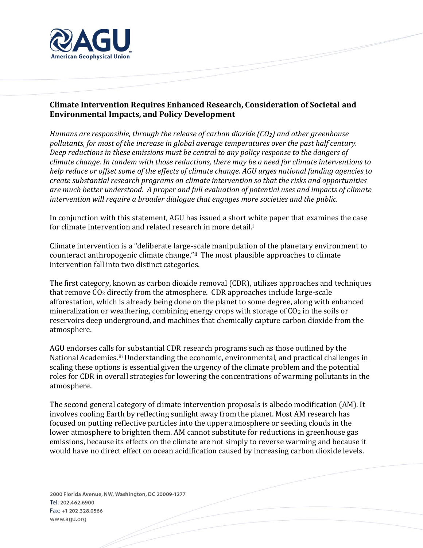

## **Climate Intervention Requires Enhanced Research, Consideration of Societal and Environmental Impacts, and Policy Development**

*Humans are responsible, through the release of carbon dioxide (CO2) and other greenhouse pollutants, for most of the increase in global average temperatures over the past half century. Deep reductions in these emissions must be central to any policy response to the dangers of climate change. In tandem with those reductions, there may be a need for climate interventions to help reduce or offset some of the effects of climate change. AGU urges national funding agencies to create substantial research programs on climate intervention so that the risks and opportunities are much better understood. A proper and full evaluation of potential uses and impacts of climate intervention will require a broader dialogue that engages more societies and the public.* 

In conjunction with this statement, AGU has issued a short white paper that examines the case for climate intervention and related research in more detail.<sup>i</sup>

Climate intervention is a "deliberate large-scale manipulation of the planetary environment to counteract anthropogenic climate change." i The most plausible approaches to climate intervention fall into two distinct categories.

The first category, known as carbon dioxide removal (CDR), utilizes approaches and techniques that remove CO<sup>2</sup> directly from the atmosphere. CDR approaches include large-scale afforestation, which is already being done on the planet to some degree, along with enhanced mineralization or weathering, combining energy crops with storage of  $CO<sub>2</sub>$  in the soils or reservoirs deep underground, and machines that chemically capture carbon dioxide from the atmosphere.

AGU endorses calls for substantial CDR research programs such as those outlined by the National Academies.<sup>iii</sup> Understanding the economic, environmental, and practical challenges in scaling these options is essential given the urgency of the climate problem and the potential roles for CDR in overall strategies for lowering the concentrations of warming pollutants in the atmosphere.

The second general category of climate intervention proposals is albedo modification (AM). It involves cooling Earth by reflecting sunlight away from the planet. Most AM research has focused on putting reflective particles into the upper atmosphere or seeding clouds in the lower atmosphere to brighten them. AM cannot substitute for reductions in greenhouse gas emissions, because its effects on the climate are not simply to reverse warming and because it would have no direct effect on ocean acidification caused by increasing carbon dioxide levels.

2000 Florida Avenue, NW, Washington, DC 20009-1277 Tel: 202.462.6900 Fax: +1 202.328.0566 www.agu.org